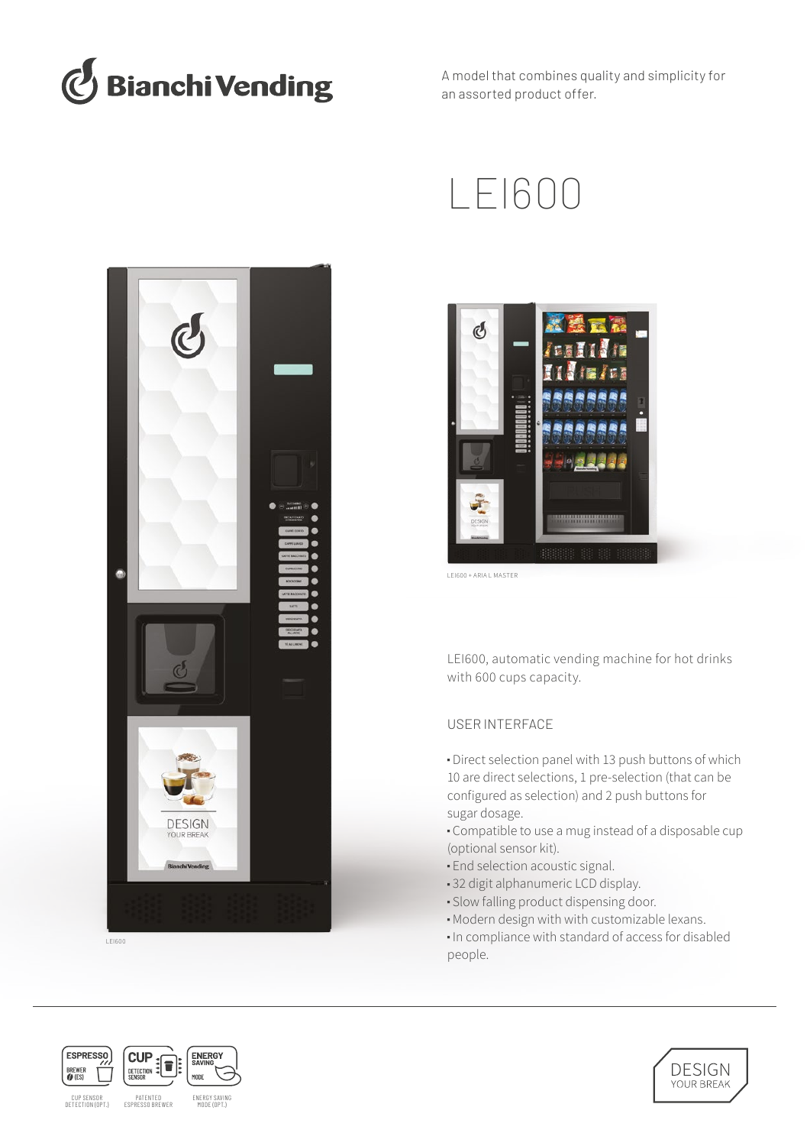

A model that combines quality and simplicity for an assorted product offer.



LEI600





LEI600 + ARIA L MASTER

LEI600, automatic vending machine for hot drinks with 600 cups capacity.

# USER INTERFACE

■ Direct selection panel with 13 push buttons of which 10 are direct selections, 1 pre-selection (that can be configured as selection) and 2 push buttons for sugar dosage.

■ Compatible to use a mug instead of a disposable cup (optional sensor kit).

- **End selection acoustic signal.**
- 32 digit alphanumeric LCD display.
- Slow falling product dispensing door.
- Modern design with with customizable lexans.
- In compliance with standard of access for disabled people.